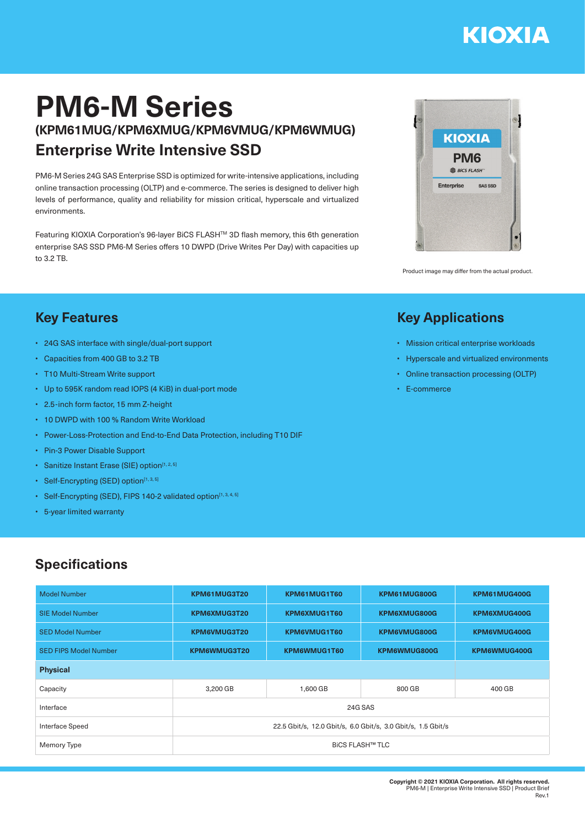# **KIOXIA**

## **PM6-M Series (KPM61MUG/KPM6XMUG/KPM6VMUG/KPM6WMUG) Enterprise Write Intensive SSD**

PM6-M Series 24G SAS Enterprise SSD is optimized for write-intensive applications, including online transaction processing (OLTP) and e-commerce. The series is designed to deliver high levels of performance, quality and reliability for mission critical, hyperscale and virtualized environments.

Featuring KIOXIA Corporation's 96-layer BiCS FLASHTM 3D flash memory, this 6th generation enterprise SAS SSD PM6-M Series offers 10 DWPD (Drive Writes Per Day) with capacities up to 3.2 TB.



Product image may differ from the actual product.

• Mission critical enterprise workloads • Hyperscale and virtualized environments • Online transaction processing (OLTP)

**Key Applications**

• E-commerce

#### **Key Features**

- 24G SAS interface with single/dual-port support
- Capacities from 400 GB to 3.2 TB
- T10 Multi-Stream Write support
- Up to 595K random read IOPS (4 KiB) in dual-port mode
- 2.5-inch form factor, 15 mm Z-height
- 10 DWPD with 100 % Random Write Workload
- Power-Loss-Protection and End-to-End Data Protection, including T10 DIF
- Pin-3 Power Disable Support
- Sanitize Instant Erase (SIE) option<sup>[1, 2, 5]</sup>
- Self-Encrypting (SED) option $[1, 3, 5]$
- Self-Encrypting (SED), FIPS 140-2 validated option<sup>[1, 3, 4, 5]</sup>
- 5-year limited warranty

### **Specifications**

| <b>Model Number</b>          | KPM61MUG3T20                                                 | KPM61MUG1T60 | KPM61MUG800G | KPM61MUG400G |  |  |
|------------------------------|--------------------------------------------------------------|--------------|--------------|--------------|--|--|
| <b>SIE Model Number</b>      | KPM6XMUG3T20                                                 | KPM6XMUG1T60 | KPM6XMUG800G | KPM6XMUG400G |  |  |
| <b>SED Model Number</b>      | KPM6VMUG3T20                                                 | KPM6VMUG1T60 | KPM6VMUG800G | KPM6VMUG400G |  |  |
| <b>SED FIPS Model Number</b> | KPM6WMUG3T20                                                 | KPM6WMUG1T60 | KPM6WMUG800G | KPM6WMUG400G |  |  |
| <b>Physical</b>              |                                                              |              |              |              |  |  |
| Capacity                     | 3,200 GB                                                     | 1,600 GB     | 800 GB       | 400 GB       |  |  |
| Interface                    | 24G SAS                                                      |              |              |              |  |  |
| Interface Speed              | 22.5 Gbit/s, 12.0 Gbit/s, 6.0 Gbit/s, 3.0 Gbit/s, 1.5 Gbit/s |              |              |              |  |  |
| Memory Type                  | <b>BICS FLASH™ TLC</b>                                       |              |              |              |  |  |